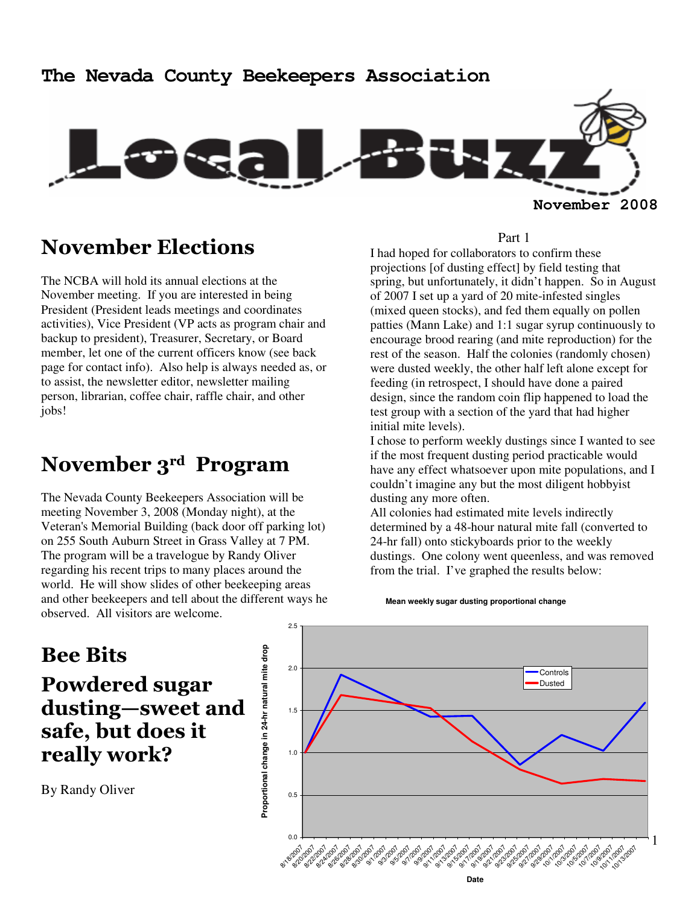# **The Nevada County Beekeepers Association November 2008**

# November Elections

The NCBA will hold its annual elections at the November meeting. If you are interested in being President (President leads meetings and coordinates activities), Vice President (VP acts as program chair and backup to president), Treasurer, Secretary, or Board member, let one of the current officers know (see back page for contact info). Also help is always needed as, or to assist, the newsletter editor, newsletter mailing person, librarian, coffee chair, raffle chair, and other jobs!

# November 3rd Program

The Nevada County Beekeepers Association will be meeting November 3, 2008 (Monday night), at the Veteran's Memorial Building (back door off parking lot) on 255 South Auburn Street in Grass Valley at 7 PM. The program will be a travelogue by Randy Oliver regarding his recent trips to many places around the world. He will show slides of other beekeeping areas and other beekeepers and tell about the different ways he observed. All visitors are welcome.

#### Part 1

I had hoped for collaborators to confirm these projections [of dusting effect] by field testing that spring, but unfortunately, it didn't happen. So in August of 2007 I set up a yard of 20 mite-infested singles (mixed queen stocks), and fed them equally on pollen patties (Mann Lake) and 1:1 sugar syrup continuously to encourage brood rearing (and mite reproduction) for the rest of the season. Half the colonies (randomly chosen) were dusted weekly, the other half left alone except for feeding (in retrospect, I should have done a paired design, since the random coin flip happened to load the test group with a section of the yard that had higher initial mite levels).

I chose to perform weekly dustings since I wanted to see if the most frequent dusting period practicable would have any effect whatsoever upon mite populations, and I couldn't imagine any but the most diligent hobbyist dusting any more often.

All colonies had estimated mite levels indirectly determined by a 48-hour natural mite fall (converted to 24-hr fall) onto stickyboards prior to the weekly dustings. One colony went queenless, and was removed from the trial. I've graphed the results below:

**Mean weekly sugar dusting proportional change**

# Bee Bits Powdered sugar dusting—sweet and safe, but does it really work?

By Randy Oliver

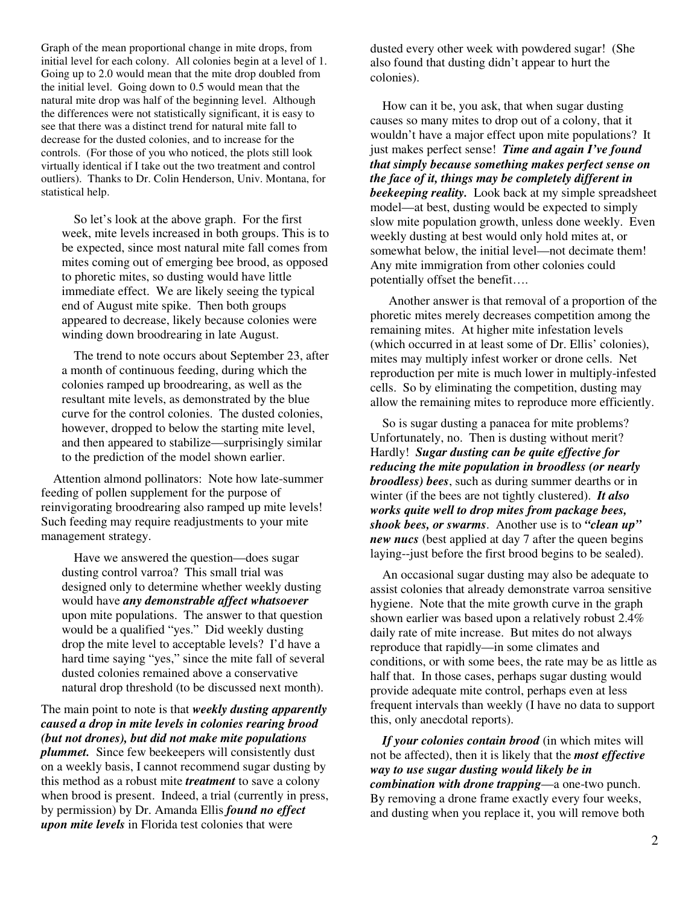Graph of the mean proportional change in mite drops, from initial level for each colony. All colonies begin at a level of 1. Going up to 2.0 would mean that the mite drop doubled from the initial level. Going down to 0.5 would mean that the natural mite drop was half of the beginning level. Although the differences were not statistically significant, it is easy to see that there was a distinct trend for natural mite fall to decrease for the dusted colonies, and to increase for the controls. (For those of you who noticed, the plots still look virtually identical if I take out the two treatment and control outliers). Thanks to Dr. Colin Henderson, Univ. Montana, for statistical help.

So let's look at the above graph. For the first week, mite levels increased in both groups. This is to be expected, since most natural mite fall comes from mites coming out of emerging bee brood, as opposed to phoretic mites, so dusting would have little immediate effect. We are likely seeing the typical end of August mite spike. Then both groups appeared to decrease, likely because colonies were winding down broodrearing in late August.

The trend to note occurs about September 23, after a month of continuous feeding, during which the colonies ramped up broodrearing, as well as the resultant mite levels, as demonstrated by the blue curve for the control colonies. The dusted colonies, however, dropped to below the starting mite level, and then appeared to stabilize—surprisingly similar to the prediction of the model shown earlier.

Attention almond pollinators: Note how late-summer feeding of pollen supplement for the purpose of reinvigorating broodrearing also ramped up mite levels! Such feeding may require readjustments to your mite management strategy.

Have we answered the question—does sugar dusting control varroa? This small trial was designed only to determine whether weekly dusting would have *any demonstrable affect whatsoever* upon mite populations. The answer to that question would be a qualified "yes." Did weekly dusting drop the mite level to acceptable levels? I'd have a hard time saying "yes," since the mite fall of several dusted colonies remained above a conservative natural drop threshold (to be discussed next month).

#### The main point to note is that *weekly dusting apparently caused a drop in mite levels in colonies rearing brood (but not drones), but did not make mite populations plummet.* Since few beekeepers will consistently dust on a weekly basis, I cannot recommend sugar dusting by this method as a robust mite *treatment* to save a colony when brood is present. Indeed, a trial (currently in press, by permission) by Dr. Amanda Ellis *found no effect upon mite levels* in Florida test colonies that were

dusted every other week with powdered sugar! (She also found that dusting didn't appear to hurt the colonies).

How can it be, you ask, that when sugar dusting causes so many mites to drop out of a colony, that it wouldn't have a major effect upon mite populations? It just makes perfect sense! *Time and again I've found that simply because something makes perfect sense on the face of it, things may be completely different in beekeeping reality.* Look back at my simple spreadsheet model—at best, dusting would be expected to simply slow mite population growth, unless done weekly. Even weekly dusting at best would only hold mites at, or somewhat below, the initial level—not decimate them! Any mite immigration from other colonies could potentially offset the benefit….

 Another answer is that removal of a proportion of the phoretic mites merely decreases competition among the remaining mites. At higher mite infestation levels (which occurred in at least some of Dr. Ellis' colonies), mites may multiply infest worker or drone cells. Net reproduction per mite is much lower in multiply-infested cells. So by eliminating the competition, dusting may allow the remaining mites to reproduce more efficiently.

So is sugar dusting a panacea for mite problems? Unfortunately, no. Then is dusting without merit? Hardly! *Sugar dusting can be quite effective for reducing the mite population in broodless (or nearly broodless) bees*, such as during summer dearths or in winter (if the bees are not tightly clustered). *It also works quite well to drop mites from package bees, shook bees, or swarms*. Another use is to *"clean up" new nucs* (best applied at day 7 after the queen begins laying--just before the first brood begins to be sealed).

An occasional sugar dusting may also be adequate to assist colonies that already demonstrate varroa sensitive hygiene. Note that the mite growth curve in the graph shown earlier was based upon a relatively robust 2.4% daily rate of mite increase. But mites do not always reproduce that rapidly—in some climates and conditions, or with some bees, the rate may be as little as half that. In those cases, perhaps sugar dusting would provide adequate mite control, perhaps even at less frequent intervals than weekly (I have no data to support this, only anecdotal reports).

*If your colonies contain brood* (in which mites will not be affected), then it is likely that the *most effective way to use sugar dusting would likely be in combination with drone trapping*—a one-two punch. By removing a drone frame exactly every four weeks, and dusting when you replace it, you will remove both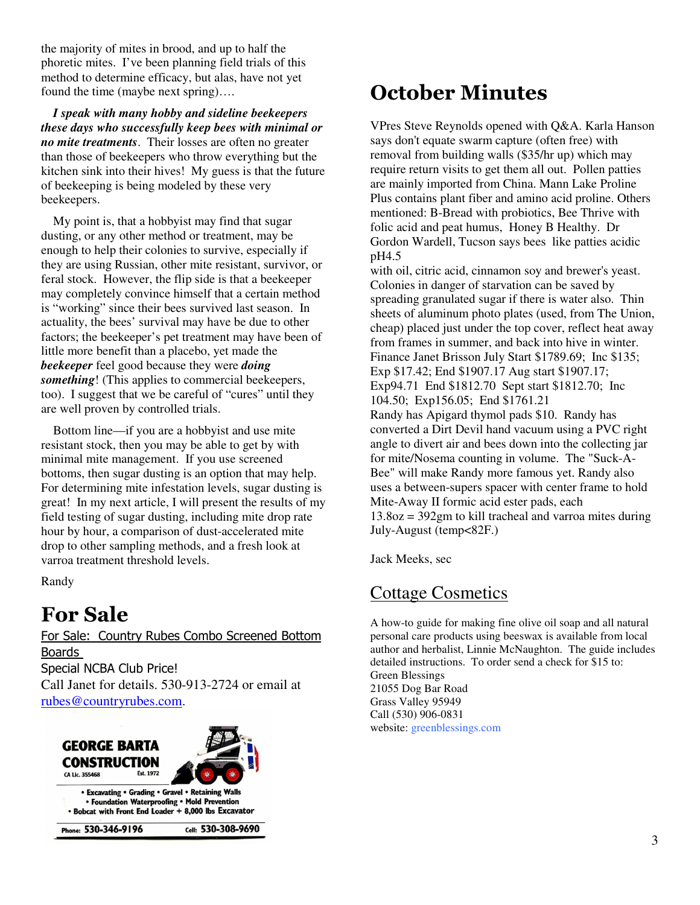the majority of mites in brood, and up to half the phoretic mites. I've been planning field trials of this method to determine efficacy, but alas, have not yet found the time (maybe next spring)….

*I speak with many hobby and sideline beekeepers these days who successfully keep bees with minimal or no mite treatments*. Their losses are often no greater than those of beekeepers who throw everything but the kitchen sink into their hives! My guess is that the future of beekeeping is being modeled by these very beekeepers.

My point is, that a hobbyist may find that sugar dusting, or any other method or treatment, may be enough to help their colonies to survive, especially if they are using Russian, other mite resistant, survivor, or feral stock. However, the flip side is that a beekeeper may completely convince himself that a certain method is "working" since their bees survived last season. In actuality, the bees' survival may have be due to other factors; the beekeeper's pet treatment may have been of little more benefit than a placebo, yet made the *beekeeper* feel good because they were *doing something*! (This applies to commercial beekeepers, too). I suggest that we be careful of "cures" until they are well proven by controlled trials.

Bottom line—if you are a hobbyist and use mite resistant stock, then you may be able to get by with minimal mite management. If you use screened bottoms, then sugar dusting is an option that may help. For determining mite infestation levels, sugar dusting is great! In my next article, I will present the results of my field testing of sugar dusting, including mite drop rate hour by hour, a comparison of dust-accelerated mite drop to other sampling methods, and a fresh look at varroa treatment threshold levels.

Randy

# For Sale

For Sale: Country Rubes Combo Screened Bottom Boards Special NCBA Club Price! Call Janet for details. 530-913-2724 or email at rubes@countryrubes.com.



# October Minutes

VPres Steve Reynolds opened with Q&A. Karla Hanson says don't equate swarm capture (often free) with removal from building walls (\$35/hr up) which may require return visits to get them all out. Pollen patties are mainly imported from China. Mann Lake Proline Plus contains plant fiber and amino acid proline. Others mentioned: B-Bread with probiotics, Bee Thrive with folic acid and peat humus, Honey B Healthy. Dr Gordon Wardell, Tucson says bees like patties acidic pH4.5

with oil, citric acid, cinnamon soy and brewer's yeast. Colonies in danger of starvation can be saved by spreading granulated sugar if there is water also. Thin sheets of aluminum photo plates (used, from The Union, cheap) placed just under the top cover, reflect heat away from frames in summer, and back into hive in winter. Finance Janet Brisson July Start \$1789.69; Inc \$135; Exp \$17.42; End \$1907.17 Aug start \$1907.17; Exp94.71 End \$1812.70 Sept start \$1812.70; Inc 104.50; Exp156.05; End \$1761.21 Randy has Apigard thymol pads \$10. Randy has converted a Dirt Devil hand vacuum using a PVC right angle to divert air and bees down into the collecting jar for mite/Nosema counting in volume. The "Suck-A-Bee" will make Randy more famous yet. Randy also uses a between-supers spacer with center frame to hold Mite-Away II formic acid ester pads, each 13.8oz = 392gm to kill tracheal and varroa mites during July-August (temp<82F.)

Jack Meeks, sec

## Cottage Cosmetics

A how-to guide for making fine olive oil soap and all natural personal care products using beeswax is available from local author and herbalist, Linnie McNaughton. The guide includes detailed instructions. To order send a check for \$15 to: Green Blessings 21055 Dog Bar Road Grass Valley 95949 Call (530) 906-0831 website: greenblessings.com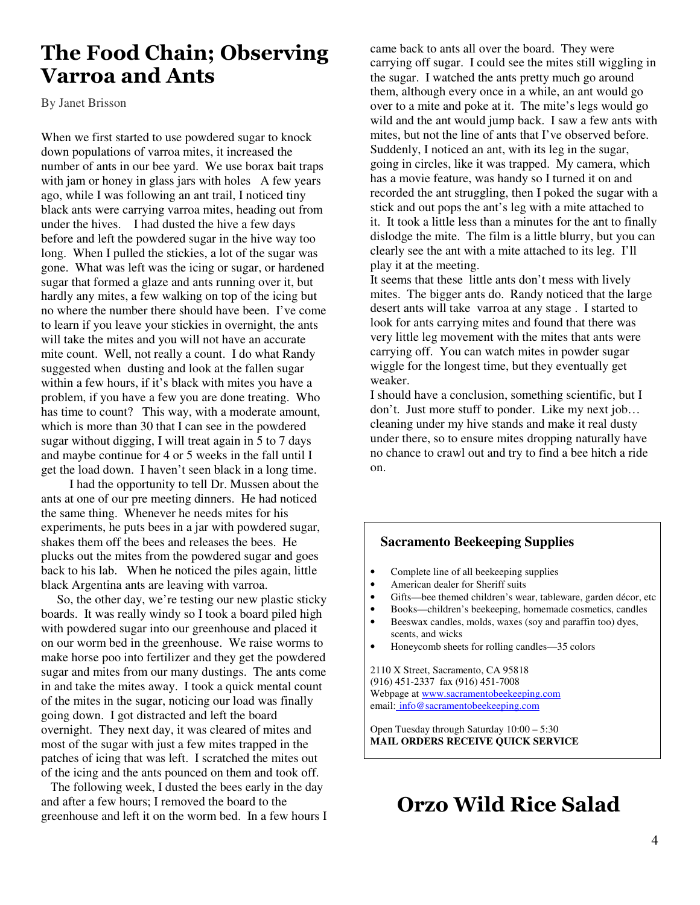## The Food Chain; Observing Varroa and Ants

By Janet Brisson

When we first started to use powdered sugar to knock down populations of varroa mites, it increased the number of ants in our bee yard. We use borax bait traps with jam or honey in glass jars with holes A few years ago, while I was following an ant trail, I noticed tiny black ants were carrying varroa mites, heading out from under the hives. I had dusted the hive a few days before and left the powdered sugar in the hive way too long. When I pulled the stickies, a lot of the sugar was gone. What was left was the icing or sugar, or hardened sugar that formed a glaze and ants running over it, but hardly any mites, a few walking on top of the icing but no where the number there should have been. I've come to learn if you leave your stickies in overnight, the ants will take the mites and you will not have an accurate mite count. Well, not really a count. I do what Randy suggested when dusting and look at the fallen sugar within a few hours, if it's black with mites you have a problem, if you have a few you are done treating. Who has time to count? This way, with a moderate amount, which is more than 30 that I can see in the powdered sugar without digging, I will treat again in 5 to 7 days and maybe continue for 4 or 5 weeks in the fall until I get the load down. I haven't seen black in a long time.

 I had the opportunity to tell Dr. Mussen about the ants at one of our pre meeting dinners. He had noticed the same thing. Whenever he needs mites for his experiments, he puts bees in a jar with powdered sugar, shakes them off the bees and releases the bees. He plucks out the mites from the powdered sugar and goes back to his lab. When he noticed the piles again, little black Argentina ants are leaving with varroa.

 So, the other day, we're testing our new plastic sticky boards. It was really windy so I took a board piled high with powdered sugar into our greenhouse and placed it on our worm bed in the greenhouse. We raise worms to make horse poo into fertilizer and they get the powdered sugar and mites from our many dustings. The ants come in and take the mites away. I took a quick mental count of the mites in the sugar, noticing our load was finally going down. I got distracted and left the board overnight. They next day, it was cleared of mites and most of the sugar with just a few mites trapped in the patches of icing that was left. I scratched the mites out of the icing and the ants pounced on them and took off.

 The following week, I dusted the bees early in the day and after a few hours; I removed the board to the greenhouse and left it on the worm bed. In a few hours I

came back to ants all over the board. They were carrying off sugar. I could see the mites still wiggling in the sugar. I watched the ants pretty much go around them, although every once in a while, an ant would go over to a mite and poke at it. The mite's legs would go wild and the ant would jump back. I saw a few ants with mites, but not the line of ants that I've observed before. Suddenly, I noticed an ant, with its leg in the sugar, going in circles, like it was trapped. My camera, which has a movie feature, was handy so I turned it on and recorded the ant struggling, then I poked the sugar with a stick and out pops the ant's leg with a mite attached to it. It took a little less than a minutes for the ant to finally dislodge the mite. The film is a little blurry, but you can clearly see the ant with a mite attached to its leg. I'll play it at the meeting.

It seems that these little ants don't mess with lively mites. The bigger ants do. Randy noticed that the large desert ants will take varroa at any stage . I started to look for ants carrying mites and found that there was very little leg movement with the mites that ants were carrying off. You can watch mites in powder sugar wiggle for the longest time, but they eventually get weaker.

I should have a conclusion, something scientific, but I don't. Just more stuff to ponder. Like my next job… cleaning under my hive stands and make it real dusty under there, so to ensure mites dropping naturally have no chance to crawl out and try to find a bee hitch a ride on.

#### **Sacramento Beekeeping Supplies**

- Complete line of all beekeeping supplies
- American dealer for Sheriff suits
- Gifts—bee themed children's wear, tableware, garden décor, etc
- Books—children's beekeeping, homemade cosmetics, candles
- Beeswax candles, molds, waxes (soy and paraffin too) dyes, scents, and wicks
- Honeycomb sheets for rolling candles—35 colors

2110 X Street, Sacramento, CA 95818 (916) 451-2337 fax (916) 451-7008 Webpage at www.sacramentobeekeeping.com email: info@sacramentobeekeeping.com

Open Tuesday through Saturday 10:00 – 5:30 **MAIL ORDERS RECEIVE QUICK SERVICE** 

# Orzo Wild Rice Salad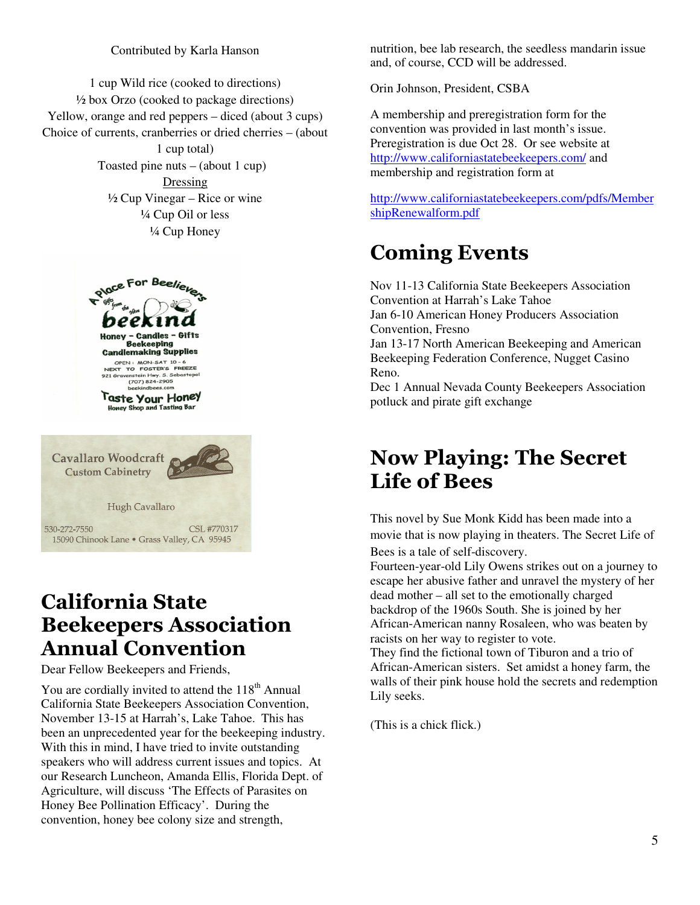#### Contributed by Karla Hanson

1 cup Wild rice (cooked to directions) ½ box Orzo (cooked to package directions) Yellow, orange and red peppers – diced (about 3 cups) Choice of currents, cranberries or dried cherries – (about 1 cup total) Toasted pine nuts  $-$  (about 1 cup) Dressing  $\frac{1}{2}$  Cup Vinegar – Rice or wine ¼ Cup Oil or less ¼ Cup Honey



## California State Beekeepers Association Annual Convention

Dear Fellow Beekeepers and Friends,

You are cordially invited to attend the 118<sup>th</sup> Annual California State Beekeepers Association Convention, November 13-15 at Harrah's, Lake Tahoe. This has been an unprecedented year for the beekeeping industry. With this in mind, I have tried to invite outstanding speakers who will address current issues and topics. At our Research Luncheon, Amanda Ellis, Florida Dept. of Agriculture, will discuss 'The Effects of Parasites on Honey Bee Pollination Efficacy'. During the convention, honey bee colony size and strength,

nutrition, bee lab research, the seedless mandarin issue and, of course, CCD will be addressed.

Orin Johnson, President, CSBA

A membership and preregistration form for the convention was provided in last month's issue. Preregistration is due Oct 28. Or see website at http://www.californiastatebeekeepers.com/ and membership and registration form at

http://www.californiastatebeekeepers.com/pdfs/Member shipRenewalform.pdf

# Coming Events

Nov 11-13 California State Beekeepers Association Convention at Harrah's Lake Tahoe Jan 6-10 American Honey Producers Association Convention, Fresno Jan 13-17 North American Beekeeping and American Beekeeping Federation Conference, Nugget Casino Reno. Dec 1 Annual Nevada County Beekeepers Association

# potluck and pirate gift exchange

## Now Playing: The Secret Life of Bees

This novel by Sue Monk Kidd has been made into a movie that is now playing in theaters. The Secret Life of Bees is a tale of self-discovery.

Fourteen-year-old Lily Owens strikes out on a journey to escape her abusive father and unravel the mystery of her dead mother – all set to the emotionally charged backdrop of the 1960s South. She is joined by her African-American nanny Rosaleen, who was beaten by racists on her way to register to vote.

They find the fictional town of Tiburon and a trio of African-American sisters. Set amidst a honey farm, the walls of their pink house hold the secrets and redemption Lily seeks.

(This is a chick flick.)